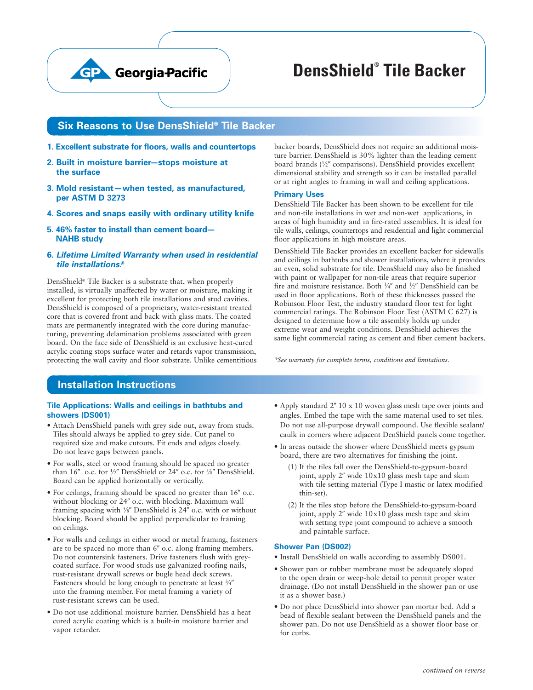

# **DensShield® Tile Backer**

## **Six Reasons to Use DensShield® Tile Backer**

- **1. Excellent substrate for floors, walls and countertops**
- **2. Built in moisture barrier—stops moisture at the surface**
- **3. Mold resistant — when tested, as manufactured, per ASTM D 3273**
- **4. Scores and snaps easily with ordinary utility knife**
- **5. 46% faster to install than cement board— NAHB study**
- **6. Lifetime Limited Warranty when used in residential tile installations.\***

DensShield® Tile Backer is a substrate that, when properly installed, is virtually unaffected by water or moisture, making it excellent for protecting both tile installations and stud cavities. DensShield is composed of a proprietary, water-resistant treated core that is covered front and back with glass mats. The coated mats are permanently integrated with the core during manufacturing, preventing delamination problems associated with green board. On the face side of DensShield is an exclusive heat-cured acrylic coating stops surface water and retards vapor transmission, protecting the wall cavity and floor substrate. Unlike cementitious backer boards, DensShield does not require an additional moisture barrier. DensShield is 30% lighter than the leading cement board brands (1/2" comparisons). DensShield provides excellent dimensional stability and strength so it can be installed parallel or at right angles to framing in wall and ceiling applications.

#### **Primary Uses**

DensShield Tile Backer has been shown to be excellent for tile and non-tile installations in wet and non-wet applications, in areas of high humidity and in fire-rated assemblies. It is ideal for tile walls, ceilings, countertops and residential and light commercial floor applications in high moisture areas.

DensShield Tile Backer provides an excellent backer for sidewalls and ceilings in bathtubs and shower installations, where it provides an even, solid substrate for tile. DensShield may also be finished with paint or wallpaper for non-tile areas that require superior fire and moisture resistance. Both ¼" and ½" DensShield can be used in floor applications. Both of these thicknesses passed the Robinson Floor Test, the industry standard floor test for light commercial ratings. The Robinson Floor Test (ASTM C 627) is designed to determine how a tile assembly holds up under extreme wear and weight conditions. DensShield achieves the same light commercial rating as cement and fiber cement backers.

*\*See warranty for complete terms, conditions and limitations.*

# **Installation Instructions**

#### **Tile Applications: Walls and ceilings in bathtubs and showers (DS001)**

- Attach DensShield panels with grey side out, away from studs. Tiles should always be applied to grey side. Cut panel to required size and make cutouts. Fit ends and edges closely. Do not leave gaps between panels.
- For walls, steel or wood framing should be spaced no greater than 16" o.c. for 1/2" DensShield or 24" o.c. for 5/8" DensShield. Board can be applied horizontally or vertically.
- For ceilings, framing should be spaced no greater than 16" o.c. without blocking or 24" o.c. with blocking. Maximum wall framing spacing with 5⁄8" DensShield is 24" o.c. with or without blocking. Board should be applied perpendicular to framing on ceilings.
- For walls and ceilings in either wood or metal framing, fasteners are to be spaced no more than 6" o.c. along framing members. Do not countersink fasteners. Drive fasteners flush with greycoated surface. For wood studs use galvanized roofing nails, rust-resistant drywall screws or bugle head deck screws. Fasteners should be long enough to penetrate at least 3/4" into the framing member. For metal framing a variety of rust-resistant screws can be used.
- Do not use additional moisture barrier. DensShield has a heat cured acrylic coating which is a built-in moisture barrier and vapor retarder.
- Apply standard 2" 10 x 10 woven glass mesh tape over joints and angles. Embed the tape with the same material used to set tiles. Do not use all-purpose drywall compound. Use flexible sealant/ caulk in corners where adjacent DenShield panels come together.
- In areas outside the shower where DensShield meets gypsum board, there are two alternatives for finishing the joint.
	- (1) If the tiles fall over the DensShield-to-gypsum-board joint, apply 2" wide 10x10 glass mesh tape and skim with tile setting material (Type I mastic or latex modified thin-set).
	- (2) If the tiles stop before the DensShield-to-gypsum-board joint, apply 2" wide 10x10 glass mesh tape and skim with setting type joint compound to achieve a smooth and paintable surface.

#### **Shower Pan (DS002)**

- Install DensShield on walls according to assembly DS001.
- Shower pan or rubber membrane must be adequately sloped to the open drain or weep-hole detail to permit proper water drainage. (Do not install DensShield in the shower pan or use it as a shower base.)
- Do not place DensShield into shower pan mortar bed. Add a bead of flexible sealant between the DensShield panels and the shower pan. Do not use DensShield as a shower floor base or for curbs.